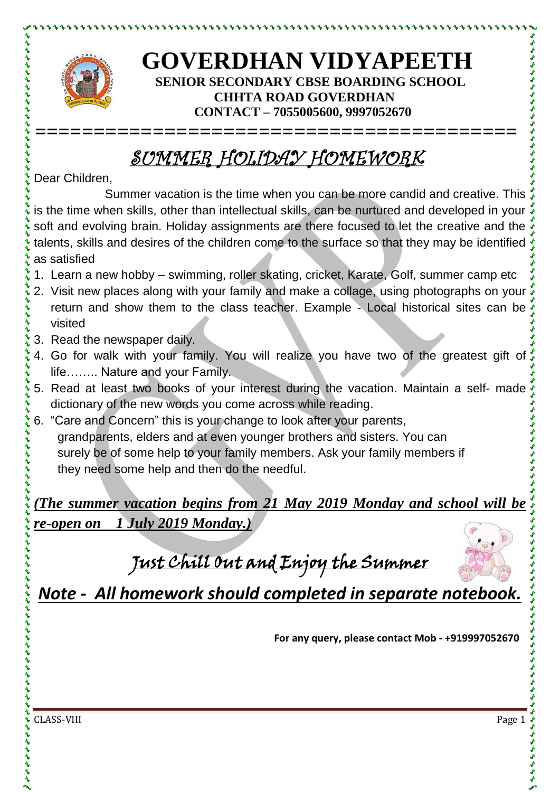

とけけいけいけいけい

## **GOVERDHAN VIDYAPEETH SENIOR SECONDARY CBSE BOARDING SCHOOL CHHTA ROAD GOVERDHAN CONTACT – 7055005600, 9997052670**

## SUMMER HOLIDAY HOMEWORK

**=========================================**

Dear Children,

Summer vacation is the time when you can be more candid and creative. This is the time when skills, other than intellectual skills, can be nurtured and developed in your soft and evolving brain. Holiday assignments are there focused to let the creative and the talents, skills and desires of the children come to the surface so that they may be identified as satisfied

- 1. Learn a new hobby swimming, roller skating, cricket, Karate, Golf, summer camp etc
- 2. Visit new places along with your family and make a collage, using photographs on your return and show them to the class teacher. Example - Local historical sites can be visited
- 3. Read the newspaper daily.
- 4. Go for walk with your family. You will realize you have two of the greatest gift of life…….. Nature and your Family.
- 5. Read at least two books of your interest during the vacation. Maintain a self- made dictionary of the new words you come across while reading.
- 6. "Care and Concern" this is your change to look after your parents, grandparents, elders and at even younger brothers and sisters. You can surely be of some help to your family members. Ask your family members if they need some help and then do the needful.

*(The summer vacation begins from 21 May 2019 Monday and school will be re-open on 1 July 2019 Monday.)*

Just Chill Out and Enjoy the Summer



*Note - All homework should completed in separate notebook.*

**For any query, please contact Mob - +919997052670**

CLASS-VIII Page 1